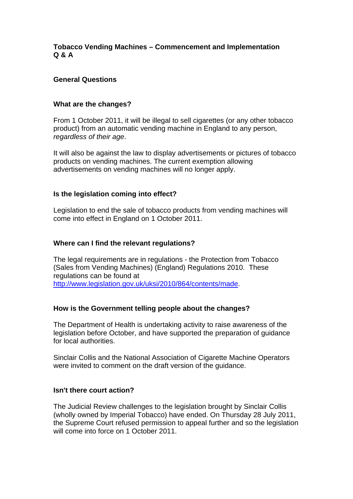### **Tobacco Vending Machines – Commencement and Implementation Q & A**

## **General Questions**

### **What are the changes?**

From 1 October 2011, it will be illegal to sell cigarettes (or any other tobacco product) from an automatic vending machine in England to any person, *regardless of their age*.

It will also be against the law to display advertisements or pictures of tobacco products on vending machines. The current exemption allowing advertisements on vending machines will no longer apply.

## **Is the legislation coming into effect?**

Legislation to end the sale of tobacco products from vending machines will come into effect in England on 1 October 2011.

## **Where can I find the relevant regulations?**

The legal requirements are in regulations - the Protection from Tobacco (Sales from Vending Machines) (England) Regulations 2010. These regulations can be found at http://www.legislation.gov.uk/uksi/2010/864/contents/made.

## **How is the Government telling people about the changes?**

The Department of Health is undertaking activity to raise awareness of the legislation before October, and have supported the preparation of guidance for local authorities.

Sinclair Collis and the National Association of Cigarette Machine Operators were invited to comment on the draft version of the guidance.

### **Isn't there court action?**

The Judicial Review challenges to the legislation brought by Sinclair Collis (wholly owned by Imperial Tobacco) have ended. On Thursday 28 July 2011, the Supreme Court refused permission to appeal further and so the legislation will come into force on 1 October 2011.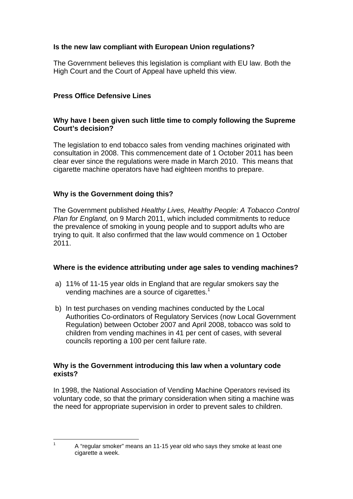## **Is the new law compliant with European Union regulations?**

The Government believes this legislation is compliant with EU law. Both the High Court and the Court of Appeal have upheld this view.

## **Press Office Defensive Lines**

## **Why have I been given such little time to comply following the Supreme Court's decision?**

The legislation to end tobacco sales from vending machines originated with consultation in 2008. This commencement date of 1 October 2011 has been clear ever since the regulations were made in March 2010. This means that cigarette machine operators have had eighteen months to prepare.

## **Why is the Government doing this?**

The Government published *Healthy Lives, Healthy People: A Tobacco Control Plan for England,* on 9 March 2011, which included commitments to reduce the prevalence of smoking in young people and to support adults who are trying to quit. It also confirmed that the law would commence on 1 October 2011.

## **Where is the evidence attributing under age sales to vending machines?**

- a) 11% of 11-15 year olds in England that are regular smokers say the vending machines are a source of cigarettes.<sup>1</sup>
- b) In test purchases on vending machines conducted by the Local Authorities Co-ordinators of Regulatory Services (now Local Government Regulation) between October 2007 and April 2008, tobacco was sold to children from vending machines in 41 per cent of cases, with several councils reporting a 100 per cent failure rate.

### **Why is the Government introducing this law when a voluntary code exists?**

In 1998, the National Association of Vending Machine Operators revised its voluntary code, so that the primary consideration when siting a machine was the need for appropriate supervision in order to prevent sales to children.

 $\frac{1}{1}$ 

A "regular smoker" means an 11-15 year old who says they smoke at least one cigarette a week.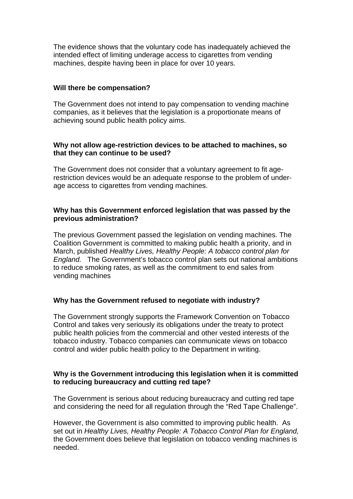The evidence shows that the voluntary code has inadequately achieved the intended effect of limiting underage access to cigarettes from vending machines, despite having been in place for over 10 years.

#### **Will there be compensation?**

The Government does not intend to pay compensation to vending machine companies, as it believes that the legislation is a proportionate means of achieving sound public health policy aims.

#### **Why not allow age-restriction devices to be attached to machines, so that they can continue to be used?**

The Government does not consider that a voluntary agreement to fit agerestriction devices would be an adequate response to the problem of underage access to cigarettes from vending machines.

#### **Why has this Government enforced legislation that was passed by the previous administration?**

The previous Government passed the legislation on vending machines. The Coalition Government is committed to making public health a priority, and in March, published *Healthy Lives, Healthy People: A tobacco control plan for England.* The Government's tobacco control plan sets out national ambitions to reduce smoking rates, as well as the commitment to end sales from vending machines

### **Why has the Government refused to negotiate with industry?**

The Government strongly supports the Framework Convention on Tobacco Control and takes very seriously its obligations under the treaty to protect public health policies from the commercial and other vested interests of the tobacco industry. Tobacco companies can communicate views on tobacco control and wider public health policy to the Department in writing.

#### **Why is the Government introducing this legislation when it is committed to reducing bureaucracy and cutting red tape?**

The Government is serious about reducing bureaucracy and cutting red tape and considering the need for all regulation through the "Red Tape Challenge".

However, the Government is also committed to improving public health. As set out in *Healthy Lives, Healthy People: A Tobacco Control Plan for England,* the Government does believe that legislation on tobacco vending machines is needed.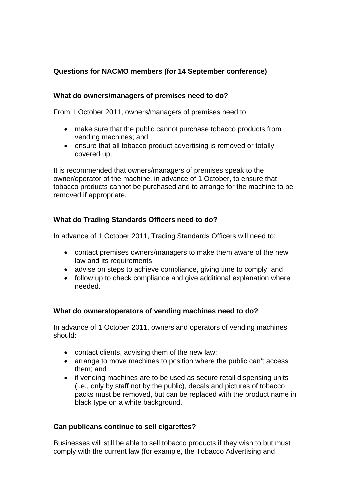# **Questions for NACMO members (for 14 September conference)**

### **What do owners/managers of premises need to do?**

From 1 October 2011, owners/managers of premises need to:

- make sure that the public cannot purchase tobacco products from vending machines; and
- ensure that all tobacco product advertising is removed or totally covered up.

It is recommended that owners/managers of premises speak to the owner/operator of the machine, in advance of 1 October, to ensure that tobacco products cannot be purchased and to arrange for the machine to be removed if appropriate.

## **What do Trading Standards Officers need to do?**

In advance of 1 October 2011, Trading Standards Officers will need to:

- contact premises owners/managers to make them aware of the new law and its requirements;
- advise on steps to achieve compliance, giving time to comply; and
- follow up to check compliance and give additional explanation where needed.

### **What do owners/operators of vending machines need to do?**

In advance of 1 October 2011, owners and operators of vending machines should:

- contact clients, advising them of the new law;
- arrange to move machines to position where the public can't access them; and
- if vending machines are to be used as secure retail dispensing units (i.e., only by staff not by the public), decals and pictures of tobacco packs must be removed, but can be replaced with the product name in black type on a white background.

### **Can publicans continue to sell cigarettes?**

Businesses will still be able to sell tobacco products if they wish to but must comply with the current law (for example, the Tobacco Advertising and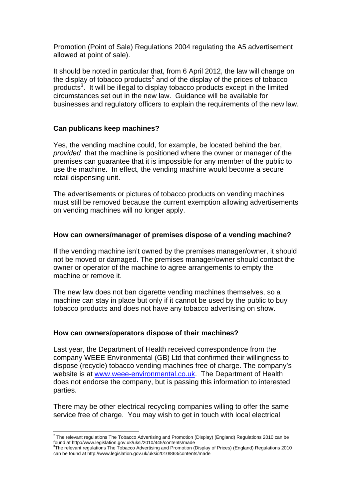Promotion (Point of Sale) Regulations 2004 regulating the A5 advertisement allowed at point of sale).

It should be noted in particular that, from 6 April 2012, the law will change on the display of tobacco products<sup>2</sup> and of the display of the prices of tobacco products<sup>3</sup>. It will be illegal to display tobacco products except in the limited circumstances set out in the new law. Guidance will be available for businesses and regulatory officers to explain the requirements of the new law.

### **Can publicans keep machines?**

Yes, the vending machine could, for example, be located behind the bar, *provided* that the machine is positioned where the owner or manager of the premises can guarantee that it is impossible for any member of the public to use the machine. In effect, the vending machine would become a secure retail dispensing unit.

The advertisements or pictures of tobacco products on vending machines must still be removed because the current exemption allowing advertisements on vending machines will no longer apply.

### **How can owners/manager of premises dispose of a vending machine?**

If the vending machine isn't owned by the premises manager/owner, it should not be moved or damaged. The premises manager/owner should contact the owner or operator of the machine to agree arrangements to empty the machine or remove it.

The new law does not ban cigarette vending machines themselves, so a machine can stay in place but only if it cannot be used by the public to buy tobacco products and does not have any tobacco advertising on show.

### **How can owners/operators dispose of their machines?**

Last year, the Department of Health received correspondence from the company WEEE Environmental (GB) Ltd that confirmed their willingness to dispose (recycle) tobacco vending machines free of charge. The company's website is at www.weee-environmental.co.uk. The Department of Health does not endorse the company, but is passing this information to interested parties.

There may be other electrical recycling companies willing to offer the same service free of charge. You may wish to get in touch with local electrical

 $^2$  The relevant regulations The Tobacco Advertising and Promotion (Display) (England) Regulations 2010 can be found at http://www.legislation.gov.uk/uksi/2010/445/contents/made **3** The relevant regulations The Tobacco Advertising and Promotion (Display of Prices) (England) Regulations 2010

can be found at http://www.legislation.gov.uk/uksi/2010/863/contents/made